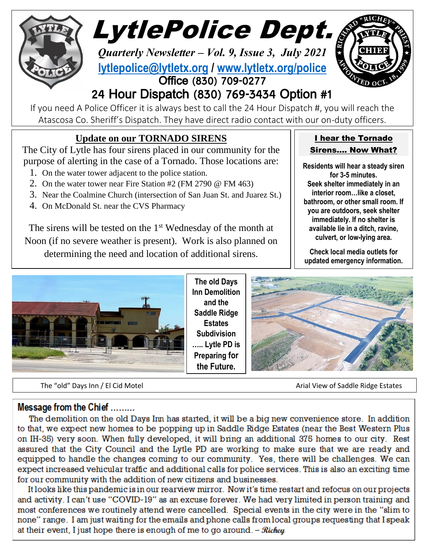

LytlePolice Dept.

*Quarterly Newsletter – Vol. 9, Issue 3, July 2021* **[lytlepolice@lytletx.org](mailto:lytlepolice@lytletx.org) / [www.lytletx.org/police](http://www.lytletx.org/police)** Office (830) 709-0277



# 24 Hour Dispatch (830) 769-3434 Option #1

If you need A Police Officer it is always best to call the 24 Hour Dispatch #, you will reach the Atascosa Co. Sheriff's Dispatch. They have direct radio contact with our on-duty officers.

## **Update on our TORNADO SIRENS**

The City of Lytle has four sirens placed in our community for the purpose of alerting in the case of a Tornado. Those locations are:

- 1. On the water tower adjacent to the police station.
- 2. On the water tower near Fire Station #2 (FM 2790 @ FM 463)
- 3. Near the Coalmine Church (intersection of San Juan St. and Juarez St.)
- 4. On McDonald St. near the CVS Pharmacy

The sirens will be tested on the  $1<sup>st</sup>$  Wednesday of the month at Noon (if no severe weather is present). Work is also planned on determining the need and location of additional sirens.



**The old Days Inn Demolition and the Saddle Ridge Estates Subdivision ….. Lytle PD is Preparing for the Future.**



The "old" Days Inn / El Cid Motel Arial View of Saddle Ridge Estates

Message from the Chief .........

The demolition on the old Days Inn has started, it will be a big new convenience store. In addition to that, we expect new homes to be popping up in Saddle Ridge Estates (near the Best Western Plus on IH-35) very soon. When fully developed, it will bring an additional 375 homes to our city. Rest assured that the City Council and the Lytle PD are working to make sure that we are ready and equipped to handle the changes coming to our community. Yes, there will be challenges. We can expect increased vehicular traffic and additional calls for police services. This is also an exciting time for our community with the addition of new citizens and businesses.

It looks like this pandemic is in our rearview mirror. Now it's time restart and refocus on our projects and activity. I can't use "COVID-19" as an excuse forever. We had very limited in person training and most conferences we routinely attend were cancelled. Special events in the city were in the "slim to none" range. I am just waiting for the emails and phone calls from local groups requesting that I speak at their event. I just hope there is enough of me to go around.  $-Richeq$ 

### I hear the Tornado Sirens…. Now What?

**Residents will hear a steady siren for 3-5 minutes. Seek shelter immediately in an interior room…like a closet, bathroom, or other small room. If you are outdoors, seek shelter immediately. If no shelter is available lie in a ditch, ravine, culvert, or low-lying area.**

**Check local media outlets for updated emergency information.**